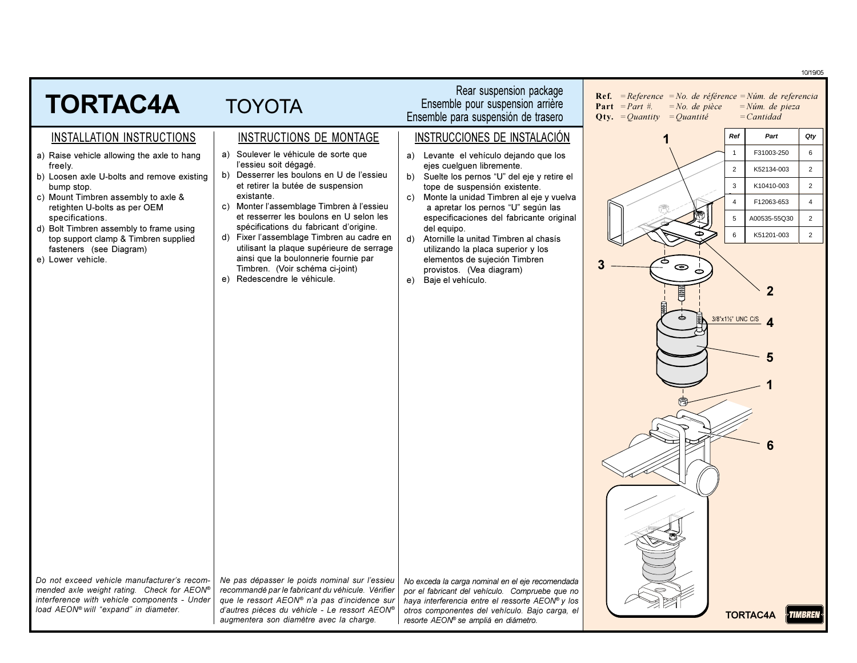|                                                                                            |                                                                                                   |                                                                                                    | 10/19/05                                                                                                                                                                                                           |
|--------------------------------------------------------------------------------------------|---------------------------------------------------------------------------------------------------|----------------------------------------------------------------------------------------------------|--------------------------------------------------------------------------------------------------------------------------------------------------------------------------------------------------------------------|
| <b>TORTAC4A</b>                                                                            | <b>TOYOTA</b>                                                                                     | Rear suspension package<br>Ensemble pour suspension arrière<br>Ensemble para suspensión de trasero | <b>Ref.</b> = Reference = No. de référence = Núm. de referencia<br><b>Part</b> = <i>Part</i> #.<br>$= No.$ de pièce<br>$=N$ úm. de pieza<br><b>Qty.</b> = <i>Quantity</i> = <i>Quantité</i><br>$=$ <i>Cantidad</i> |
| <b>INSTALLATION INSTRUCTIONS</b>                                                           | <b>INSTRUCTIONS DE MONTAGE</b>                                                                    | <b>INSTRUCCIONES DE INSTALACIÓN</b>                                                                | Ref<br>Part<br>Qty                                                                                                                                                                                                 |
| a) Raise vehicle allowing the axle to hang                                                 | a) Soulever le véhicule de sorte que                                                              | a) Levante el vehículo dejando que los                                                             | $\,6\,$<br>$\mathbf{1}$<br>F31003-250                                                                                                                                                                              |
| freely.<br>b) Loosen axle U-bolts and remove existing                                      | l'essieu soit dégagé.<br>b) Desserrer les boulons en U de l'essieu                                | ejes cuelguen libremente.<br>b) Suelte los pernos "U" del eje y retire el                          | $\overline{2}$<br>$\overline{2}$<br>K52134-003                                                                                                                                                                     |
| bump stop.                                                                                 | et retirer la butée de suspension<br>existante.                                                   | tope de suspensión existente.                                                                      | $\mathbf{3}$<br>K10410-003<br>$\overline{2}$                                                                                                                                                                       |
| c) Mount Timbren assembly to axle &<br>retighten U-bolts as per OEM                        | c) Monter l'assemblage Timbren à l'essieu                                                         | Monte la unidad Timbren al eje y vuelva<br>C)<br>a apretar los pernos "U" según las                | $\overline{4}$<br>F12063-653<br>$\overline{4}$                                                                                                                                                                     |
| specifications.<br>d) Bolt Timbren assembly to frame using                                 | et resserrer les boulons en U selon les<br>spécifications du fabricant d'origine.                 | especificaciones del fabricante original<br>del equipo.                                            | $\overline{2}$<br>$5\phantom{.0}$<br>A00535-55Q30                                                                                                                                                                  |
| top support clamp & Timbren supplied<br>fasteners (see Diagram)                            | d) Fixer l'assemblage Timbren au cadre en<br>utilisant la plaque supérieure de serrage            | d) Atornille la unitad Timbren al chasís<br>utilizando la placa superior y los                     | $6\overline{6}$<br>$\overline{2}$<br>K51201-003                                                                                                                                                                    |
| e) Lower vehicle.                                                                          | ainsi que la boulonnerie fournie par                                                              | elementos de sujeción Timbren                                                                      | ⇨<br>◉                                                                                                                                                                                                             |
|                                                                                            | Timbren. (Voir schéma ci-joint)<br>e) Redescendre le véhicule.                                    | provistos. (Vea diagram)<br>Baje el vehículo.<br>e)                                                | $\circ$                                                                                                                                                                                                            |
|                                                                                            |                                                                                                   |                                                                                                    | $\overline{a}$                                                                                                                                                                                                     |
|                                                                                            |                                                                                                   |                                                                                                    | 3/8"x11/2" UNC C/S                                                                                                                                                                                                 |
|                                                                                            |                                                                                                   |                                                                                                    |                                                                                                                                                                                                                    |
|                                                                                            |                                                                                                   |                                                                                                    |                                                                                                                                                                                                                    |
|                                                                                            |                                                                                                   |                                                                                                    | 5                                                                                                                                                                                                                  |
|                                                                                            |                                                                                                   |                                                                                                    |                                                                                                                                                                                                                    |
|                                                                                            |                                                                                                   |                                                                                                    |                                                                                                                                                                                                                    |
|                                                                                            |                                                                                                   |                                                                                                    |                                                                                                                                                                                                                    |
|                                                                                            |                                                                                                   |                                                                                                    |                                                                                                                                                                                                                    |
|                                                                                            |                                                                                                   |                                                                                                    |                                                                                                                                                                                                                    |
|                                                                                            |                                                                                                   |                                                                                                    |                                                                                                                                                                                                                    |
|                                                                                            |                                                                                                   |                                                                                                    |                                                                                                                                                                                                                    |
|                                                                                            |                                                                                                   |                                                                                                    |                                                                                                                                                                                                                    |
|                                                                                            |                                                                                                   |                                                                                                    |                                                                                                                                                                                                                    |
|                                                                                            |                                                                                                   |                                                                                                    |                                                                                                                                                                                                                    |
|                                                                                            |                                                                                                   |                                                                                                    |                                                                                                                                                                                                                    |
| Do not exceed vehicle manufacturer's recom-                                                | Ne pas dépasser le poids nominal sur l'essieu                                                     | No exceda la carga nominal en el eje recomendada                                                   |                                                                                                                                                                                                                    |
| mended axle weight rating. Check for AEON®<br>interference with vehicle components - Under | recommandé par le fabricant du véhicule. Vérifier<br>que le ressort AEON® n'a pas d'incidence sur | por el fabricant del vehículo. Compruebe que no                                                    |                                                                                                                                                                                                                    |
| load AEON® will "expand" in diameter.                                                      | d'autres pièces du véhicle - Le ressort AEON®                                                     | haya interferencia entre el ressorte AEON® y los<br>otros componentes del vehículo. Bajo carga, el | <b>TORTAC4A</b><br>TIMBREN                                                                                                                                                                                         |
|                                                                                            | augmentera son diamètre avec la charge.                                                           | resorte AEON® se ampliá en diámetro.                                                               |                                                                                                                                                                                                                    |